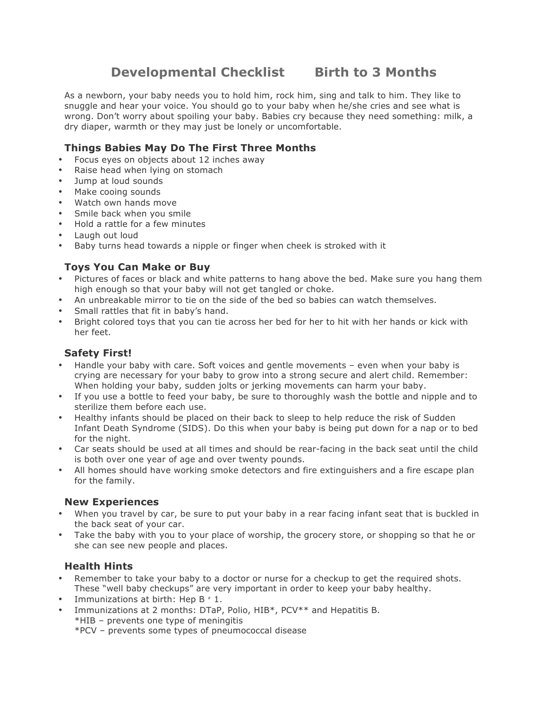# **Developmental Checklist Birth to 3 Months**

As a newborn, your baby needs you to hold him, rock him, sing and talk to him. They like to snuggle and hear your voice. You should go to your baby when he/she cries and see what is wrong. Don't worry about spoiling your baby. Babies cry because they need something: milk, a dry diaper, warmth or they may just be lonely or uncomfortable.

## **Things Babies May Do The First Three Months**

- Focus eyes on objects about 12 inches away
- Raise head when Iving on stomach
- Jump at loud sounds
- Make cooing sounds
- Watch own hands move
- Smile back when you smile
- Hold a rattle for a few minutes
- Laugh out loud
- Baby turns head towards a nipple or finger when cheek is stroked with it

## **Toys You Can Make or Buy**

- Pictures of faces or black and white patterns to hang above the bed. Make sure you hang them high enough so that your baby will not get tangled or choke.
- An unbreakable mirror to tie on the side of the bed so babies can watch themselves.
- Small rattles that fit in baby's hand.
- Bright colored toys that you can tie across her bed for her to hit with her hands or kick with her feet.

# **Safety First!**

- Handle your baby with care. Soft voices and gentle movements even when your baby is crying are necessary for your baby to grow into a strong secure and alert child. Remember: When holding your baby, sudden jolts or jerking movements can harm your baby.
- If you use a bottle to feed your baby, be sure to thoroughly wash the bottle and nipple and to sterilize them before each use.
- Healthy infants should be placed on their back to sleep to help reduce the risk of Sudden Infant Death Syndrome (SIDS). Do this when your baby is being put down for a nap or to bed for the night.
- Car seats should be used at all times and should be rear-facing in the back seat until the child is both over one year of age and over twenty pounds.
- All homes should have working smoke detectors and fire extinguishers and a fire escape plan for the family.

#### **New Experiences**

- When you travel by car, be sure to put your baby in a rear facing infant seat that is buckled in the back seat of your car.
- Take the baby with you to your place of worship, the grocery store, or shopping so that he or she can see new people and places.

## **Health Hints**

- Remember to take your baby to a doctor or nurse for a checkup to get the required shots. These "well baby checkups" are very important in order to keep your baby healthy.
- Immunizations at birth: Hep  $B \neq 1$ .
- Immunizations at 2 months: DTaP, Polio, HIB\*, PCV\*\* and Hepatitis B.
	- \*HIB prevents one type of meningitis

\*PCV – prevents some types of pneumococcal disease